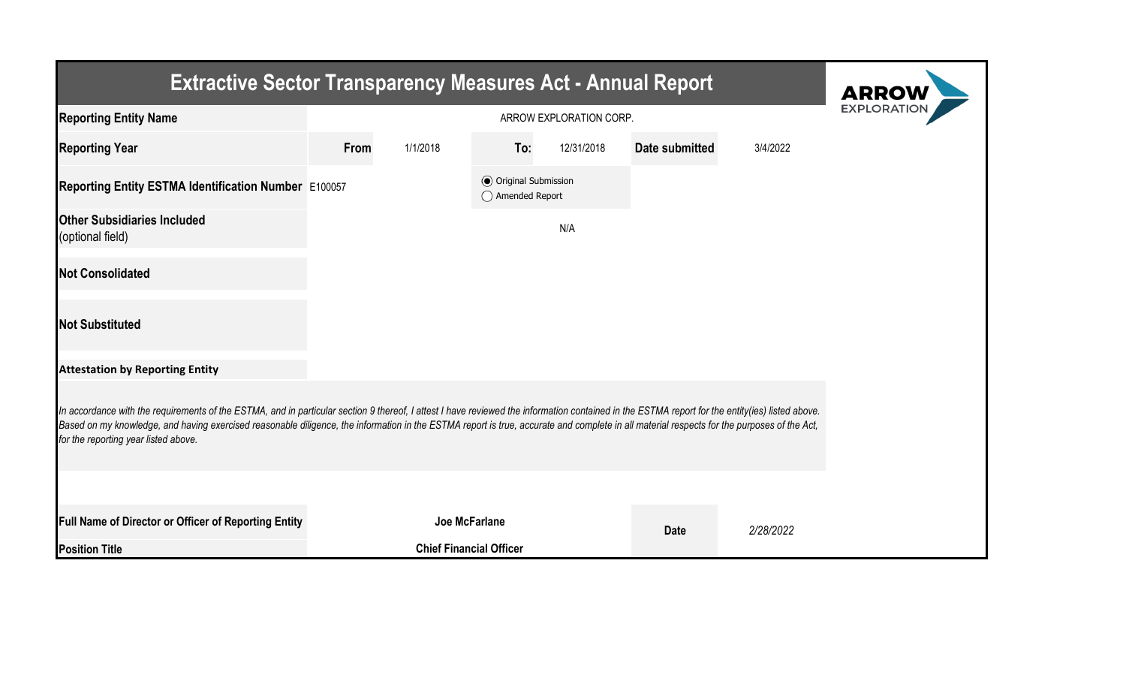| <b>Extractive Sector Transparency Measures Act - Annual Report</b>                                                                                                                                                                                                                                                                                                                                                                    | <b>ARROW</b>  |                                |                                                  |            |                |           |  |  |  |  |
|---------------------------------------------------------------------------------------------------------------------------------------------------------------------------------------------------------------------------------------------------------------------------------------------------------------------------------------------------------------------------------------------------------------------------------------|---------------|--------------------------------|--------------------------------------------------|------------|----------------|-----------|--|--|--|--|
| <b>Reporting Entity Name</b>                                                                                                                                                                                                                                                                                                                                                                                                          |               | <b>EXPLORATIO</b>              |                                                  |            |                |           |  |  |  |  |
| <b>Reporting Year</b>                                                                                                                                                                                                                                                                                                                                                                                                                 | From          | 1/1/2018                       | To:                                              | 12/31/2018 | Date submitted | 3/4/2022  |  |  |  |  |
| Reporting Entity ESTMA Identification Number E100057                                                                                                                                                                                                                                                                                                                                                                                  |               |                                | <b>◎</b> Original Submission<br>◯ Amended Report |            |                |           |  |  |  |  |
| <b>Other Subsidiaries Included</b><br>(optional field)                                                                                                                                                                                                                                                                                                                                                                                |               |                                |                                                  | N/A        |                |           |  |  |  |  |
| <b>Not Consolidated</b>                                                                                                                                                                                                                                                                                                                                                                                                               |               |                                |                                                  |            |                |           |  |  |  |  |
| <b>Not Substituted</b>                                                                                                                                                                                                                                                                                                                                                                                                                |               |                                |                                                  |            |                |           |  |  |  |  |
| <b>Attestation by Reporting Entity</b>                                                                                                                                                                                                                                                                                                                                                                                                |               |                                |                                                  |            |                |           |  |  |  |  |
| In accordance with the requirements of the ESTMA, and in particular section 9 thereof, I attest I have reviewed the information contained in the ESTMA report for the entity(ies) listed above.<br>Based on my knowledge, and having exercised reasonable diligence, the information in the ESTMA report is true, accurate and complete in all material respects for the purposes of the Act,<br>for the reporting year listed above. |               |                                |                                                  |            |                |           |  |  |  |  |
|                                                                                                                                                                                                                                                                                                                                                                                                                                       |               |                                |                                                  |            |                |           |  |  |  |  |
| Full Name of Director or Officer of Reporting Entity                                                                                                                                                                                                                                                                                                                                                                                  | Joe McFarlane |                                |                                                  |            | <b>Date</b>    | 2/28/2022 |  |  |  |  |
| <b>Position Title</b>                                                                                                                                                                                                                                                                                                                                                                                                                 |               | <b>Chief Financial Officer</b> |                                                  |            |                |           |  |  |  |  |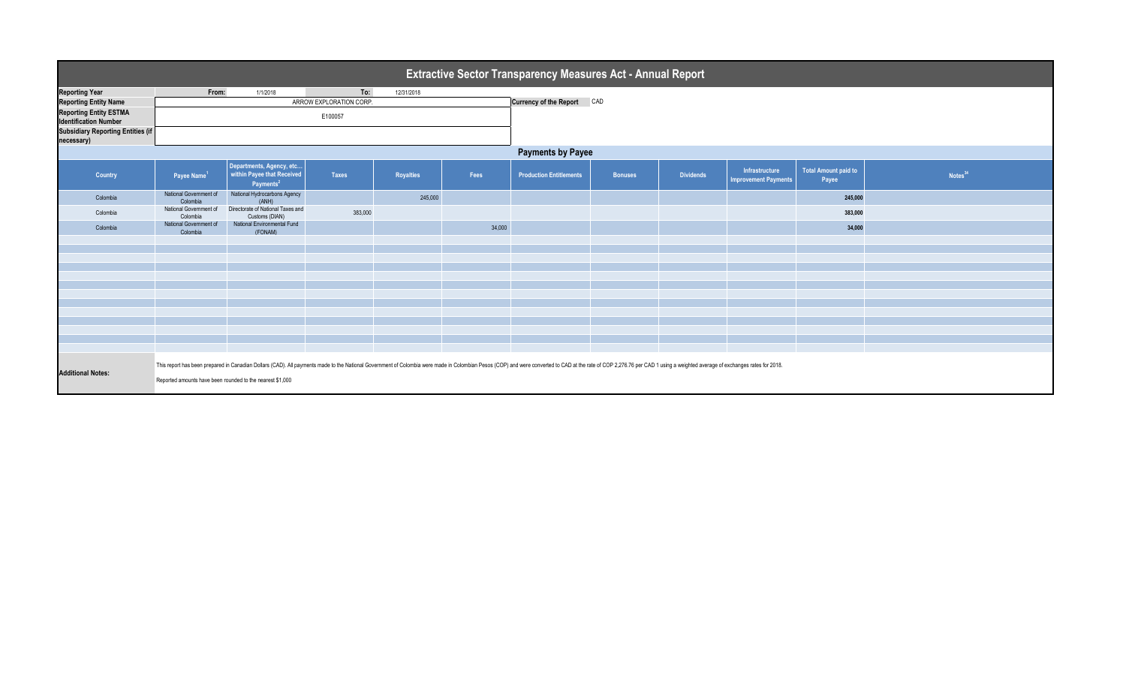|                                                               | <b>Extractive Sector Transparency Measures Act - Annual Report</b>                                                                                                                                                                                                                          |                                                                                 |                         |                  |        |                                |                |                  |                                               |                                      |                     |  |
|---------------------------------------------------------------|---------------------------------------------------------------------------------------------------------------------------------------------------------------------------------------------------------------------------------------------------------------------------------------------|---------------------------------------------------------------------------------|-------------------------|------------------|--------|--------------------------------|----------------|------------------|-----------------------------------------------|--------------------------------------|---------------------|--|
| <b>Reporting Year</b>                                         | From:                                                                                                                                                                                                                                                                                       | 1/1/2018                                                                        | To:                     | 12/31/2018       |        |                                |                |                  |                                               |                                      |                     |  |
| <b>Reporting Entity Name</b>                                  |                                                                                                                                                                                                                                                                                             |                                                                                 | ARROW EXPLORATION CORP. |                  |        | Currency of the Report CAD     |                |                  |                                               |                                      |                     |  |
| <b>Reporting Entity ESTMA</b><br><b>Identification Number</b> |                                                                                                                                                                                                                                                                                             |                                                                                 |                         |                  |        |                                |                |                  |                                               |                                      |                     |  |
| <b>Subsidiary Reporting Entities (if</b><br>necessary)        |                                                                                                                                                                                                                                                                                             |                                                                                 |                         |                  |        |                                |                |                  |                                               |                                      |                     |  |
|                                                               | <b>Payments by Payee</b>                                                                                                                                                                                                                                                                    |                                                                                 |                         |                  |        |                                |                |                  |                                               |                                      |                     |  |
| Country                                                       | Payee Name <sup>1</sup>                                                                                                                                                                                                                                                                     | Departments, Agency, etc<br>within Payee that Received<br>Payments <sup>2</sup> | <b>Taxes</b>            | <b>Royalties</b> | Fees   | <b>Production Entitlements</b> | <b>Bonuses</b> | <b>Dividends</b> | Infrastructure<br><b>Improvement Payments</b> | <b>Total Amount paid to</b><br>Payee | Notes <sup>34</sup> |  |
| Colombia                                                      | National Government of<br>Colombia                                                                                                                                                                                                                                                          | National Hydrocarbons Agency<br>(ANH)                                           |                         | 245,000          |        |                                |                |                  |                                               | 245,000                              |                     |  |
| Colombia                                                      | National Government of<br>Colombia                                                                                                                                                                                                                                                          | Directorate of National Taxes and<br>Customs (DIAN)                             | 383,000                 |                  |        |                                |                |                  |                                               | 383,000                              |                     |  |
| Colombia                                                      | National Government of<br>Colombia                                                                                                                                                                                                                                                          | National Environmental Fund<br>(FONAM)                                          |                         |                  | 34,000 |                                |                |                  |                                               | 34,000                               |                     |  |
|                                                               |                                                                                                                                                                                                                                                                                             |                                                                                 |                         |                  |        |                                |                |                  |                                               |                                      |                     |  |
|                                                               |                                                                                                                                                                                                                                                                                             |                                                                                 |                         |                  |        |                                |                |                  |                                               |                                      |                     |  |
|                                                               |                                                                                                                                                                                                                                                                                             |                                                                                 |                         |                  |        |                                |                |                  |                                               |                                      |                     |  |
|                                                               |                                                                                                                                                                                                                                                                                             |                                                                                 |                         |                  |        |                                |                |                  |                                               |                                      |                     |  |
|                                                               |                                                                                                                                                                                                                                                                                             |                                                                                 |                         |                  |        |                                |                |                  |                                               |                                      |                     |  |
|                                                               |                                                                                                                                                                                                                                                                                             |                                                                                 |                         |                  |        |                                |                |                  |                                               |                                      |                     |  |
|                                                               |                                                                                                                                                                                                                                                                                             |                                                                                 |                         |                  |        |                                |                |                  |                                               |                                      |                     |  |
|                                                               |                                                                                                                                                                                                                                                                                             |                                                                                 |                         |                  |        |                                |                |                  |                                               |                                      |                     |  |
|                                                               |                                                                                                                                                                                                                                                                                             |                                                                                 |                         |                  |        |                                |                |                  |                                               |                                      |                     |  |
|                                                               |                                                                                                                                                                                                                                                                                             |                                                                                 |                         |                  |        |                                |                |                  |                                               |                                      |                     |  |
| <b>Additional Notes:</b>                                      | This report has been prepared in Canadian Dollars (CAD). All payments made to the National Government of Colombia were made in Colombian Pesos (COP) and were converted to CAD at the rate of COP 2,276.76 per CAD 1 using a w<br>Reported amounts have been rounded to the nearest \$1,000 |                                                                                 |                         |                  |        |                                |                |                  |                                               |                                      |                     |  |